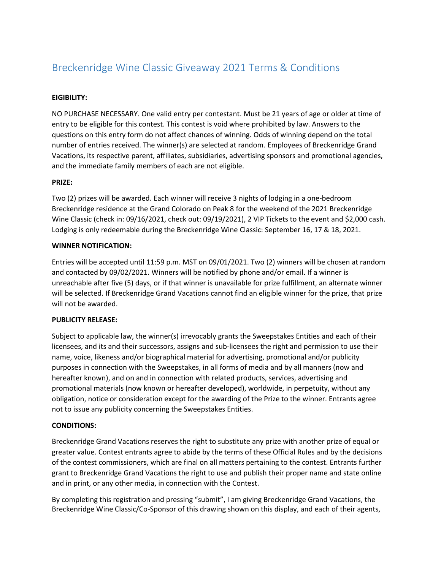# Breckenridge Wine Classic Giveaway 2021 Terms & Conditions

## **EIGIBILITY:**

NO PURCHASE NECESSARY. One valid entry per contestant. Must be 21 years of age or older at time of entry to be eligible for this contest. This contest is void where prohibited by law. Answers to the questions on this entry form do not affect chances of winning. Odds of winning depend on the total number of entries received. The winner(s) are selected at random. Employees of Breckenridge Grand Vacations, its respective parent, affiliates, subsidiaries, advertising sponsors and promotional agencies, and the immediate family members of each are not eligible.

#### **PRIZE:**

Two (2) prizes will be awarded. Each winner will receive 3 nights of lodging in a one-bedroom Breckenridge residence at the Grand Colorado on Peak 8 for the weekend of the 2021 Breckenridge Wine Classic (check in: 09/16/2021, check out: 09/19/2021), 2 VIP Tickets to the event and \$2,000 cash. Lodging is only redeemable during the Breckenridge Wine Classic: September 16, 17 & 18, 2021.

#### **WINNER NOTIFICATION:**

Entries will be accepted until 11:59 p.m. MST on 09/01/2021. Two (2) winners will be chosen at random and contacted by 09/02/2021. Winners will be notified by phone and/or email. If a winner is unreachable after five (5) days, or if that winner is unavailable for prize fulfillment, an alternate winner will be selected. If Breckenridge Grand Vacations cannot find an eligible winner for the prize, that prize will not be awarded.

### **PUBLICITY RELEASE:**

Subject to applicable law, the winner(s) irrevocably grants the Sweepstakes Entities and each of their licensees, and its and their successors, assigns and sub-licensees the right and permission to use their name, voice, likeness and/or biographical material for advertising, promotional and/or publicity purposes in connection with the Sweepstakes, in all forms of media and by all manners (now and hereafter known), and on and in connection with related products, services, advertising and promotional materials (now known or hereafter developed), worldwide, in perpetuity, without any obligation, notice or consideration except for the awarding of the Prize to the winner. Entrants agree not to issue any publicity concerning the Sweepstakes Entities.

#### **CONDITIONS:**

Breckenridge Grand Vacations reserves the right to substitute any prize with another prize of equal or greater value. Contest entrants agree to abide by the terms of these Official Rules and by the decisions of the contest commissioners, which are final on all matters pertaining to the contest. Entrants further grant to Breckenridge Grand Vacations the right to use and publish their proper name and state online and in print, or any other media, in connection with the Contest.

By completing this registration and pressing "submit", I am giving Breckenridge Grand Vacations, the Breckenridge Wine Classic/Co-Sponsor of this drawing shown on this display, and each of their agents,